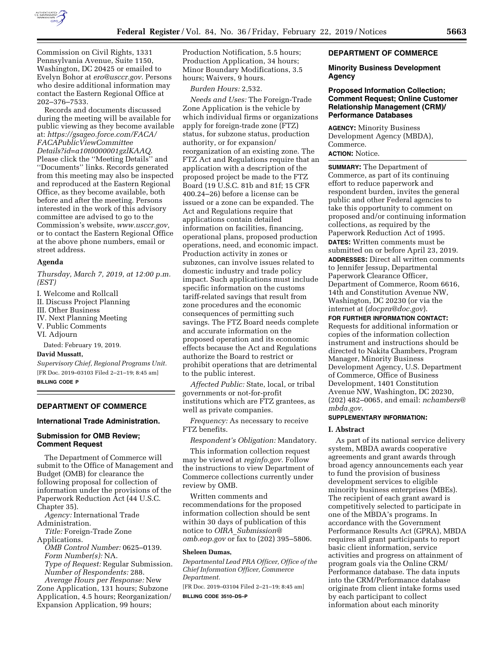

Commission on Civil Rights, 1331 Pennsylvania Avenue, Suite 1150, Washington, DC 20425 or emailed to Evelyn Bohor at *[ero@usccr.gov](mailto:ero@usccr.gov)*. Persons who desire additional information may contact the Eastern Regional Office at 202–376–7533.

Records and documents discussed during the meeting will be available for public viewing as they become available at: *[https://gsageo.force.com/FACA/](https://gsageo.force.com/FACA/FACAPublicViewCommitteeDetails?id=a10t0000001gzlKAAQ) [FACAPublicViewCommittee](https://gsageo.force.com/FACA/FACAPublicViewCommitteeDetails?id=a10t0000001gzlKAAQ) [Details?id=a10t0000001gzlKAAQ](https://gsageo.force.com/FACA/FACAPublicViewCommitteeDetails?id=a10t0000001gzlKAAQ)*. Please click the ''Meeting Details'' and ''Documents'' links. Records generated from this meeting may also be inspected and reproduced at the Eastern Regional Office, as they become available, both before and after the meeting. Persons interested in the work of this advisory committee are advised to go to the Commission's website, *[www.usccr.gov,](http://www.usccr.gov)*  or to contact the Eastern Regional Office at the above phone numbers, email or street address.

#### **Agenda**

*Thursday, March 7, 2019, at 12:00 p.m. (EST)* 

I. Welcome and Rollcall II. Discuss Project Planning III. Other Business

IV. Next Planning Meeting

V. Public Comments

VI. Adjourn

Dated: February 19, 2019.

#### **David Mussatt,**

*Supervisory Chief, Regional Programs Unit.*  [FR Doc. 2019–03103 Filed 2–21–19; 8:45 am] **BILLING CODE P** 

## **DEPARTMENT OF COMMERCE**

## **International Trade Administration.**

### **Submission for OMB Review; Comment Request**

The Department of Commerce will submit to the Office of Management and Budget (OMB) for clearance the following proposal for collection of information under the provisions of the Paperwork Reduction Act (44 U.S.C. Chapter 35).

*Agency:* International Trade Administration.

*Title:* Foreign-Trade Zone Applications.

*OMB Control Number:* 0625–0139. *Form Number(s):* NA.

*Type of Request:* Regular Submission. *Number of Respondents:* 288.

*Average Hours per Response:* New Zone Application, 131 hours; Subzone Application, 4.5 hours; Reorganization/ Expansion Application, 99 hours;

Production Notification, 5.5 hours; Production Application, 34 hours; Minor Boundary Modifications, 3.5 hours; Waivers, 9 hours.

*Burden Hours:* 2,532.

*Needs and Uses:* The Foreign-Trade Zone Application is the vehicle by which individual firms or organizations apply for foreign-trade zone (FTZ) status, for subzone status, production authority, or for expansion/ reorganization of an existing zone. The FTZ Act and Regulations require that an application with a description of the proposed project be made to the FTZ Board (19 U.S.C. 81b and 81f; 15 CFR 400.24–26) before a license can be issued or a zone can be expanded. The Act and Regulations require that applications contain detailed information on facilities, financing, operational plans, proposed production operations, need, and economic impact. Production activity in zones or subzones, can involve issues related to domestic industry and trade policy impact. Such applications must include specific information on the customs tariff-related savings that result from zone procedures and the economic consequences of permitting such savings. The FTZ Board needs complete and accurate information on the proposed operation and its economic effects because the Act and Regulations authorize the Board to restrict or prohibit operations that are detrimental to the public interest.

*Affected Public:* State, local, or tribal governments or not-for-profit institutions which are FTZ grantees, as well as private companies.

*Frequency:* As necessary to receive FTZ benefits.

*Respondent's Obligation:* Mandatory.

This information collection request may be viewed at *reginfo.gov*. Follow the instructions to view Department of Commerce collections currently under review by OMB.

Written comments and recommendations for the proposed information collection should be sent within 30 days of publication of this notice to *OIRA*\_*[Submission@](mailto:OIRA_Submission@omb.eop.gov) [omb.eop.gov](mailto:OIRA_Submission@omb.eop.gov)* or fax to (202) 395–5806.

### **Sheleen Dumas,**

*Departmental Lead PRA Officer, Office of the Chief Information Officer, Commerce Department.* 

[FR Doc. 2019–03104 Filed 2–21–19; 8:45 am] **BILLING CODE 3510–DS–P** 

## **DEPARTMENT OF COMMERCE**

## **Minority Business Development Agency**

## **Proposed Information Collection; Comment Request; Online Customer Relationship Management (CRM)/ Performance Databases**

**AGENCY:** Minority Business Development Agency (MBDA), Commerce. **ACTION:** Notice.

**SUMMARY:** The Department of Commerce, as part of its continuing effort to reduce paperwork and respondent burden, invites the general public and other Federal agencies to take this opportunity to comment on proposed and/or continuing information collections, as required by the Paperwork Reduction Act of 1995. **DATES:** Written comments must be submitted on or before April 23, 2019. **ADDRESSES:** Direct all written comments to Jennifer Jessup, Departmental Paperwork Clearance Officer, Department of Commerce, Room 6616, 14th and Constitution Avenue NW, Washington, DC 20230 (or via the internet at (*[docpra@doc.gov](mailto:docpra@doc.gov)*).

**FOR FURTHER INFORMATION CONTACT:**  Requests for additional information or copies of the information collection instrument and instructions should be directed to Nakita Chambers, Program Manager, Minority Business Development Agency, U.S. Department of Commerce, Office of Business Development, 1401 Constitution Avenue NW, Washington, DC 20230, (202) 482–0065, and email: *[nchambers@](mailto:nchambers@mbda.gov) [mbda.gov](mailto:nchambers@mbda.gov)*.

# **SUPPLEMENTARY INFORMATION:**

#### **I. Abstract**

As part of its national service delivery system, MBDA awards cooperative agreements and grant awards through broad agency announcements each year to fund the provision of business development services to eligible minority business enterprises (MBEs). The recipient of each grant award is competitively selected to participate in one of the MBDA's programs. In accordance with the Government Performance Results Act (GPRA), MBDA requires all grant participants to report basic client information, service activities and progress on attainment of program goals via the Online CRM/ Performance database. The data inputs into the CRM/Performance database originate from client intake forms used by each participant to collect information about each minority